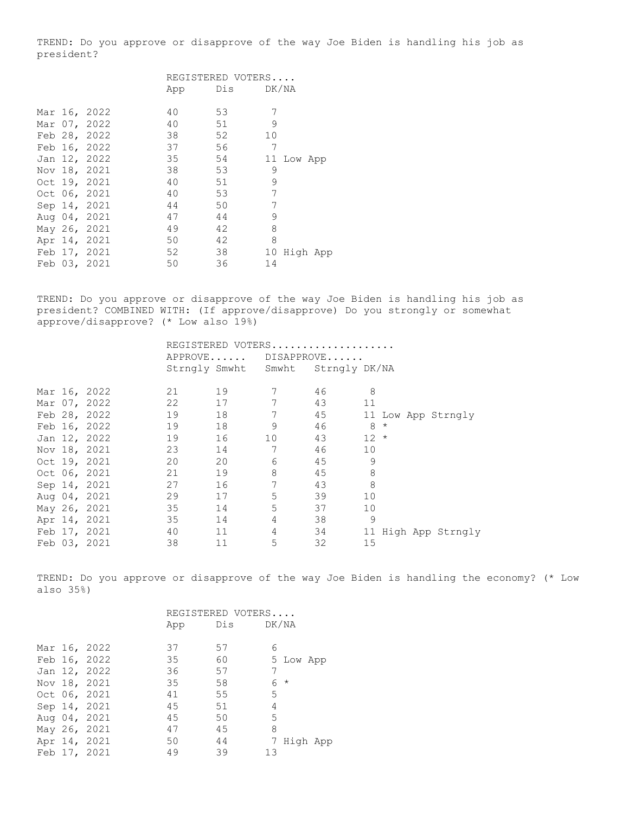TREND: Do you approve or disapprove of the way Joe Biden is handling his job as president?

|  |              | REGISTERED VOTERS |               |    |            |  |
|--|--------------|-------------------|---------------|----|------------|--|
|  |              |                   | App Dis DK/NA |    |            |  |
|  | Mar 16, 2022 | 40                | 53            | 7  |            |  |
|  | Mar 07, 2022 | 40                | 51            | 9  |            |  |
|  | Feb 28, 2022 | 38                | 52            | 10 |            |  |
|  | Feb 16, 2022 | 37                | 56            | 7  |            |  |
|  | Jan 12, 2022 | 35                | 54            |    | 11 Low App |  |
|  | Nov 18, 2021 | 38                | 53            | 9  |            |  |
|  | Oct 19, 2021 | 40                | 51            | 9  |            |  |
|  | Oct 06, 2021 | 40                | 53            | 7  |            |  |
|  | Sep 14, 2021 | 44                | 50            | 7  |            |  |
|  | Aug 04, 2021 | 47                | 44            | 9  |            |  |
|  | May 26, 2021 | 49                | 42            | 8  |            |  |
|  | Apr 14, 2021 | 50                | 42            | 8  |            |  |
|  | Feb 17, 2021 | 52                | 38            | 10 | High App   |  |
|  | Feb 03, 2021 | 50                | 36            | 14 |            |  |

TREND: Do you approve or disapprove of the way Joe Biden is handling his job as president? COMBINED WITH: (If approve/disapprove) Do you strongly or somewhat approve/disapprove? (\* Low also 19%)

|  |              | REGISTERED VOTERS |    |                                   |            |        |         |                     |
|--|--------------|-------------------|----|-----------------------------------|------------|--------|---------|---------------------|
|  |              | $APPROVE$         |    |                                   | DISAPPROVE |        |         |                     |
|  |              |                   |    | Strngly Smwht Smwht Strngly DK/NA |            |        |         |                     |
|  |              |                   |    |                                   |            |        |         |                     |
|  | Mar 16, 2022 | 21                | 19 | 7                                 | 46         | 8      |         |                     |
|  | Mar 07, 2022 | 22                | 17 | 7                                 | 43         | 11     |         |                     |
|  | Feb 28, 2022 | 19                | 18 | 7                                 | 45         |        |         | 11 Low App Strngly  |
|  | Feb 16, 2022 | 19                | 18 | 9                                 | 46         | 8      | $\star$ |                     |
|  | Jan 12, 2022 | 19                | 16 | 10                                | 43         | $12 *$ |         |                     |
|  | Nov 18, 2021 | 23                | 14 |                                   | 46         | 10     |         |                     |
|  | Oct 19, 2021 | 20                | 20 | 6                                 | 45         | 9      |         |                     |
|  | Oct 06, 2021 | 21                | 19 | 8                                 | 45         | 8      |         |                     |
|  | Sep 14, 2021 | 27                | 16 | 7                                 | 43         | 8      |         |                     |
|  | Aug 04, 2021 | 29                | 17 | 5                                 | 39         | 10     |         |                     |
|  | May 26, 2021 | 35                | 14 | 5                                 | 37         | 10     |         |                     |
|  | Apr 14, 2021 | 35                | 14 | 4                                 | 38         | 9      |         |                     |
|  | Feb 17, 2021 | 40                | 11 | 4                                 | 34         |        |         | 11 High App Strngly |
|  | Feb 03, 2021 | 38                | 11 | 5                                 | 32         | 15     |         |                     |

TREND: Do you approve or disapprove of the way Joe Biden is handling the economy? (\* Low also 35%)

|  |              |     | REGISTERED VOTERS |    |           |            |
|--|--------------|-----|-------------------|----|-----------|------------|
|  |              | App | Dis DK/NA         |    |           |            |
|  |              |     |                   |    |           |            |
|  | Mar 16, 2022 | 37  | 57                | 6  |           |            |
|  | Feb 16, 2022 | 35  | 60                |    | 5 Low App |            |
|  | Jan 12, 2022 | 36  | 57                | 7  |           |            |
|  | Nov 18, 2021 | 35  | 58                |    | $6 *$     |            |
|  | Oct 06, 2021 | 41  | 55                | 5  |           |            |
|  | Sep 14, 2021 | 45  | 51                | 4  |           |            |
|  | Aug 04, 2021 | 45  | 50                | 5  |           |            |
|  | May 26, 2021 | 47  | 45                | 8  |           |            |
|  | Apr 14, 2021 | 50  | 44                |    |           | 7 High App |
|  | Feb 17, 2021 | 49  | 39                | 13 |           |            |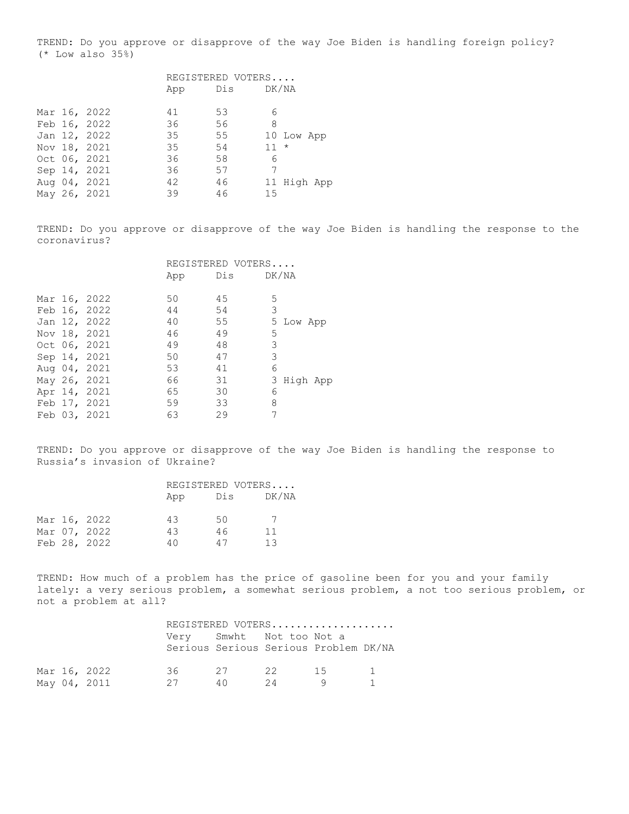TREND: Do you approve or disapprove of the way Joe Biden is handling foreign policy? (\* Low also 35%)

|  |              | REGISTERED VOTERS |     |        |            |             |
|--|--------------|-------------------|-----|--------|------------|-------------|
|  |              | App               | Dis | DK/NA  |            |             |
|  | Mar 16, 2022 | 41                | 53  | 6      |            |             |
|  | Feb 16, 2022 | 36                | 56  | 8      |            |             |
|  | Jan 12, 2022 | 35                | 55  |        | 10 Low App |             |
|  | Nov 18, 2021 | 35                | 54  | $11 *$ |            |             |
|  | Oct 06, 2021 | 36                | 58  | 6      |            |             |
|  | Sep 14, 2021 | 36                | 57  | 7      |            |             |
|  | Aug 04, 2021 | 42                | 46  |        |            | 11 High App |
|  | May 26, 2021 | 39                | 46  | 15     |            |             |

TREND: Do you approve or disapprove of the way Joe Biden is handling the response to the coronavirus?

|  |              | REGISTERED VOTERS |           |   |            |  |
|--|--------------|-------------------|-----------|---|------------|--|
|  |              | App               | Dis DK/NA |   |            |  |
|  |              |                   |           |   |            |  |
|  | Mar 16, 2022 | 50                | 45        | 5 |            |  |
|  | Feb 16, 2022 | 44                | 54        | 3 |            |  |
|  | Jan 12, 2022 | 40                | 55        |   | 5 Low App  |  |
|  | Nov 18, 2021 | 46                | 49        | 5 |            |  |
|  | Oct 06, 2021 | 49                | 48        | 3 |            |  |
|  | Sep 14, 2021 | 50                | 47        | 3 |            |  |
|  | Aug 04, 2021 | 53                | 41        | 6 |            |  |
|  | May 26, 2021 | 66                | 31        |   | 3 High App |  |
|  | Apr 14, 2021 | 65                | 30        | 6 |            |  |
|  | Feb 17, 2021 | 59                | 33        | 8 |            |  |
|  | Feb 03, 2021 | 63                | 29        |   |            |  |
|  |              |                   |           |   |            |  |

TREND: Do you approve or disapprove of the way Joe Biden is handling the response to Russia's invasion of Ukraine?

|  |              | REGISTERED VOTERS |     |       |  |
|--|--------------|-------------------|-----|-------|--|
|  |              | App               | Dis | DK/NA |  |
|  | Mar 16, 2022 | 43                | 50  | 7     |  |
|  | Mar 07, 2022 | 43                | 46  | 11    |  |
|  | Feb 28, 2022 | 40                | 47  | 13    |  |

TREND: How much of a problem has the price of gasoline been for you and your family lately: a very serious problem, a somewhat serious problem, a not too serious problem, or not a problem at all?

|  |              | REGISTERED VOTERS |     |                                       |     |              |  |
|--|--------------|-------------------|-----|---------------------------------------|-----|--------------|--|
|  |              |                   |     | Very Smwht Not too Not a              |     |              |  |
|  |              |                   |     | Serious Serious Serious Problem DK/NA |     |              |  |
|  | Mar 16, 2022 | 36 27 22          |     |                                       | 1.5 | $\mathbf{1}$ |  |
|  | May 04, 2011 | 27                | 4 O | 24                                    |     |              |  |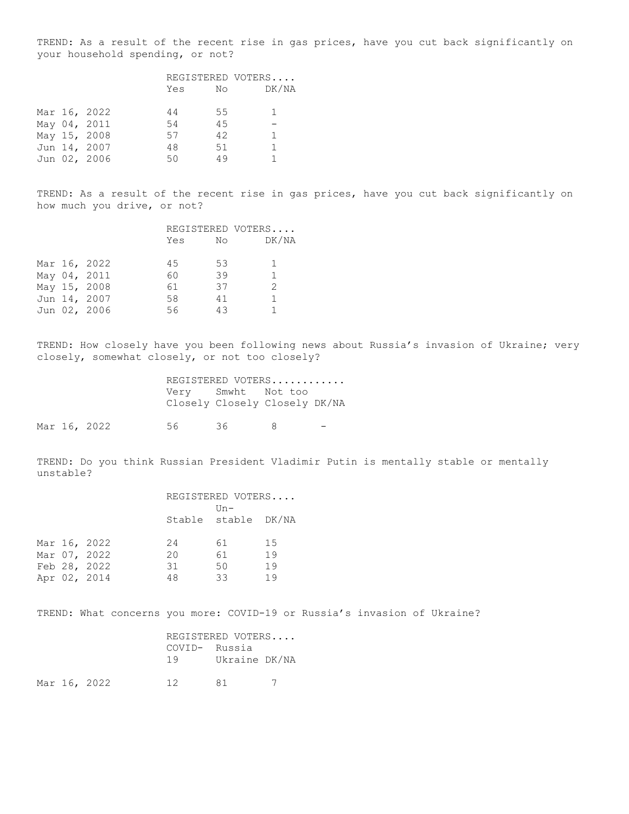TREND: As a result of the recent rise in gas prices, have you cut back significantly on your household spending, or not?

|  |              |     |     | REGISTERED VOTERS |
|--|--------------|-----|-----|-------------------|
|  |              | Yes | No. | DK/NA             |
|  |              |     |     |                   |
|  | Mar 16, 2022 | 44  | 55  |                   |
|  | May 04, 2011 | 54  | 45  |                   |
|  | May 15, 2008 | 57  | 42  |                   |
|  | Jun 14, 2007 | 48  | 51  | 1                 |
|  | Jun 02, 2006 | 50  | 49  |                   |
|  |              |     |     |                   |

TREND: As a result of the recent rise in gas prices, have you cut back significantly on how much you drive, or not?

|  |              |     |      | REGISTERED VOTERS |
|--|--------------|-----|------|-------------------|
|  |              | Yes | No l | DK/NA             |
|  |              |     |      |                   |
|  | Mar 16, 2022 | 45  | 53   | $\mathbf{1}$      |
|  | May 04, 2011 | 60  | 39   | 1                 |
|  | May 15, 2008 | 61  | 37   | $\mathcal{P}$     |
|  | Jun 14, 2007 | 58  | 41   | 1                 |
|  | Jun 02, 2006 | 56  | 43   |                   |

TREND: How closely have you been following news about Russia's invasion of Ukraine; very closely, somewhat closely, or not too closely?

|                    | REGISTERED VOTERS             |  |
|--------------------|-------------------------------|--|
| Very Smwht Not too |                               |  |
|                    | Closely Closely Closely DK/NA |  |

Mar 16, 2022 56 36 8 -

TREND: Do you think Russian President Vladimir Putin is mentally stable or mentally unstable?

|  |              | REGISTERED VOTERS |                     |    |  |  |
|--|--------------|-------------------|---------------------|----|--|--|
|  |              | $Un-$             |                     |    |  |  |
|  |              |                   | Stable stable DK/NA |    |  |  |
|  |              |                   |                     |    |  |  |
|  | Mar 16, 2022 | 24                | 61                  | 15 |  |  |
|  | Mar 07, 2022 | 20                | 61                  | 19 |  |  |
|  | Feb 28, 2022 | 31                | 50                  | 19 |  |  |
|  | Apr 02, 2014 | 48                | 33                  | 19 |  |  |
|  |              |                   |                     |    |  |  |

TREND: What concerns you more: COVID-19 or Russia's invasion of Ukraine?

|  |              |               | REGISTERED VOTERS |  |
|--|--------------|---------------|-------------------|--|
|  |              | COVID- Russia |                   |  |
|  |              | 19            | Ukraine DK/NA     |  |
|  |              |               |                   |  |
|  | Mar 16, 2022 | 12            | 81.               |  |